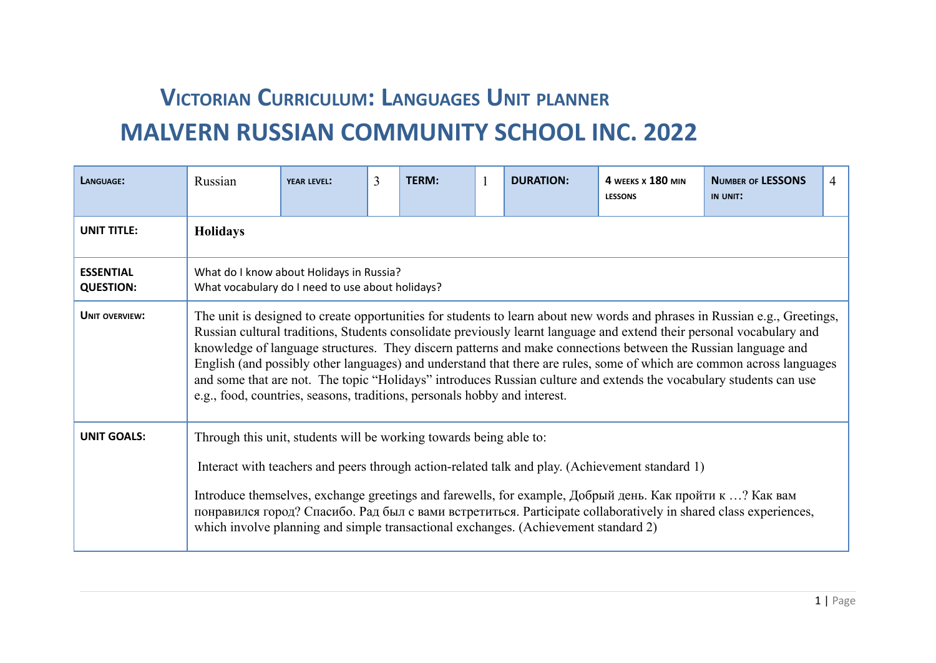## **VICTORIAN CURRICULUM: LANGUAGES UNIT PLANNER MALVERN RUSSIAN COMMUNITY SCHOOL INC. 2022**

| LANGUAGE:                            | Russian                                                                                                                                                                                                                                                                                                                                                                                                                                                                                                                                                                                                                                                                                          | <b>YEAR LEVEL:</b>                                                                           | 3 | <b>TERM:</b> |  | <b>DURATION:</b> | 4 WEEKS X 180 MIN<br><b>LESSONS</b>                                                             | <b>NUMBER OF LESSONS</b><br>IN UNIT: | 4 |  |  |
|--------------------------------------|--------------------------------------------------------------------------------------------------------------------------------------------------------------------------------------------------------------------------------------------------------------------------------------------------------------------------------------------------------------------------------------------------------------------------------------------------------------------------------------------------------------------------------------------------------------------------------------------------------------------------------------------------------------------------------------------------|----------------------------------------------------------------------------------------------|---|--------------|--|------------------|-------------------------------------------------------------------------------------------------|--------------------------------------|---|--|--|
| <b>UNIT TITLE:</b>                   | <b>Holidays</b>                                                                                                                                                                                                                                                                                                                                                                                                                                                                                                                                                                                                                                                                                  |                                                                                              |   |              |  |                  |                                                                                                 |                                      |   |  |  |
| <b>ESSENTIAL</b><br><b>QUESTION:</b> |                                                                                                                                                                                                                                                                                                                                                                                                                                                                                                                                                                                                                                                                                                  | What do I know about Holidays in Russia?<br>What vocabulary do I need to use about holidays? |   |              |  |                  |                                                                                                 |                                      |   |  |  |
| <b>UNIT OVERVIEW:</b>                | The unit is designed to create opportunities for students to learn about new words and phrases in Russian e.g., Greetings,<br>Russian cultural traditions, Students consolidate previously learnt language and extend their personal vocabulary and<br>knowledge of language structures. They discern patterns and make connections between the Russian language and<br>English (and possibly other languages) and understand that there are rules, some of which are common across languages<br>and some that are not. The topic "Holidays" introduces Russian culture and extends the vocabulary students can use<br>e.g., food, countries, seasons, traditions, personals hobby and interest. |                                                                                              |   |              |  |                  |                                                                                                 |                                      |   |  |  |
| <b>UNIT GOALS:</b>                   | Through this unit, students will be working towards being able to:                                                                                                                                                                                                                                                                                                                                                                                                                                                                                                                                                                                                                               |                                                                                              |   |              |  |                  | Interact with teachers and peers through action-related talk and play. (Achievement standard 1) |                                      |   |  |  |
|                                      | Introduce themselves, exchange greetings and farewells, for example, Добрый день. Как пройти к ? Как вам<br>понравился город? Спасибо. Рад был с вами встретиться. Participate collaboratively in shared class experiences,<br>which involve planning and simple transactional exchanges. (Achievement standard 2)                                                                                                                                                                                                                                                                                                                                                                               |                                                                                              |   |              |  |                  |                                                                                                 |                                      |   |  |  |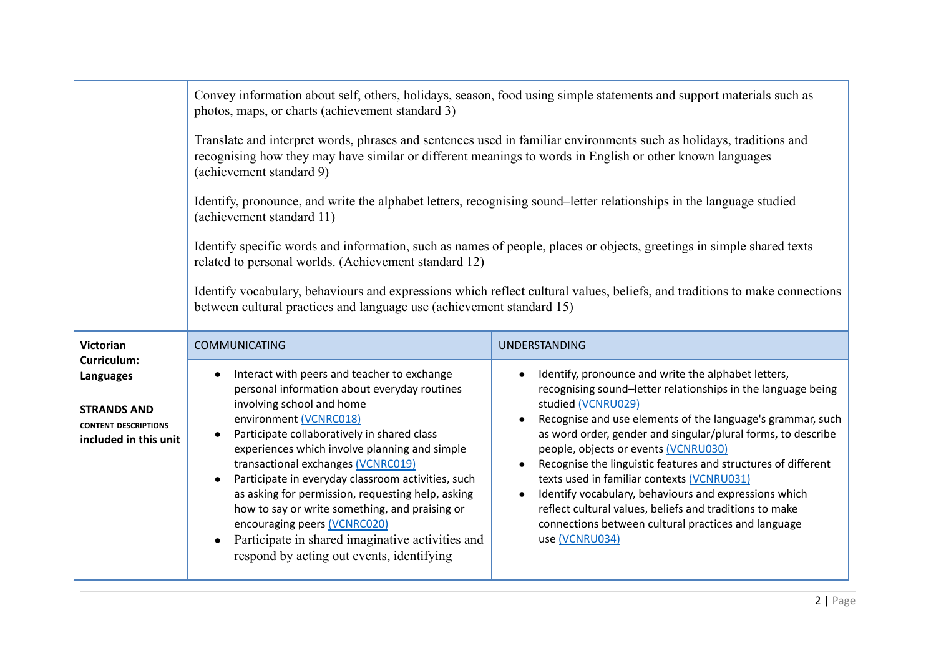|                                                                                                        | photos, maps, or charts (achievement standard 3)                                                                                                                                                                                                                                                                                                                                                                                                                                                                                                                                       | Convey information about self, others, holidays, season, food using simple statements and support materials such as                                                                                                                                                                                                                                                                                                                                                                                                                                                                                                         |  |  |  |
|--------------------------------------------------------------------------------------------------------|----------------------------------------------------------------------------------------------------------------------------------------------------------------------------------------------------------------------------------------------------------------------------------------------------------------------------------------------------------------------------------------------------------------------------------------------------------------------------------------------------------------------------------------------------------------------------------------|-----------------------------------------------------------------------------------------------------------------------------------------------------------------------------------------------------------------------------------------------------------------------------------------------------------------------------------------------------------------------------------------------------------------------------------------------------------------------------------------------------------------------------------------------------------------------------------------------------------------------------|--|--|--|
|                                                                                                        | Translate and interpret words, phrases and sentences used in familiar environments such as holidays, traditions and<br>recognising how they may have similar or different meanings to words in English or other known languages<br>(achievement standard 9)                                                                                                                                                                                                                                                                                                                            |                                                                                                                                                                                                                                                                                                                                                                                                                                                                                                                                                                                                                             |  |  |  |
|                                                                                                        | Identify, pronounce, and write the alphabet letters, recognising sound-letter relationships in the language studied<br>(achievement standard 11)                                                                                                                                                                                                                                                                                                                                                                                                                                       |                                                                                                                                                                                                                                                                                                                                                                                                                                                                                                                                                                                                                             |  |  |  |
|                                                                                                        | Identify specific words and information, such as names of people, places or objects, greetings in simple shared texts<br>related to personal worlds. (Achievement standard 12)                                                                                                                                                                                                                                                                                                                                                                                                         |                                                                                                                                                                                                                                                                                                                                                                                                                                                                                                                                                                                                                             |  |  |  |
|                                                                                                        | between cultural practices and language use (achievement standard 15)                                                                                                                                                                                                                                                                                                                                                                                                                                                                                                                  | Identify vocabulary, behaviours and expressions which reflect cultural values, beliefs, and traditions to make connections                                                                                                                                                                                                                                                                                                                                                                                                                                                                                                  |  |  |  |
| <b>Victorian</b>                                                                                       | <b>COMMUNICATING</b>                                                                                                                                                                                                                                                                                                                                                                                                                                                                                                                                                                   | UNDERSTANDING                                                                                                                                                                                                                                                                                                                                                                                                                                                                                                                                                                                                               |  |  |  |
| Curriculum:<br>Languages<br><b>STRANDS AND</b><br><b>CONTENT DESCRIPTIONS</b><br>included in this unit | Interact with peers and teacher to exchange<br>personal information about everyday routines<br>involving school and home<br>environment (VCNRC018)<br>Participate collaboratively in shared class<br>experiences which involve planning and simple<br>transactional exchanges (VCNRC019)<br>Participate in everyday classroom activities, such<br>as asking for permission, requesting help, asking<br>how to say or write something, and praising or<br>encouraging peers (VCNRC020)<br>Participate in shared imaginative activities and<br>respond by acting out events, identifying | Identify, pronounce and write the alphabet letters,<br>recognising sound-letter relationships in the language being<br>studied (VCNRU029)<br>Recognise and use elements of the language's grammar, such<br>as word order, gender and singular/plural forms, to describe<br>people, objects or events (VCNRU030)<br>Recognise the linguistic features and structures of different<br>texts used in familiar contexts (VCNRU031)<br>Identify vocabulary, behaviours and expressions which<br>reflect cultural values, beliefs and traditions to make<br>connections between cultural practices and language<br>use (VCNRU034) |  |  |  |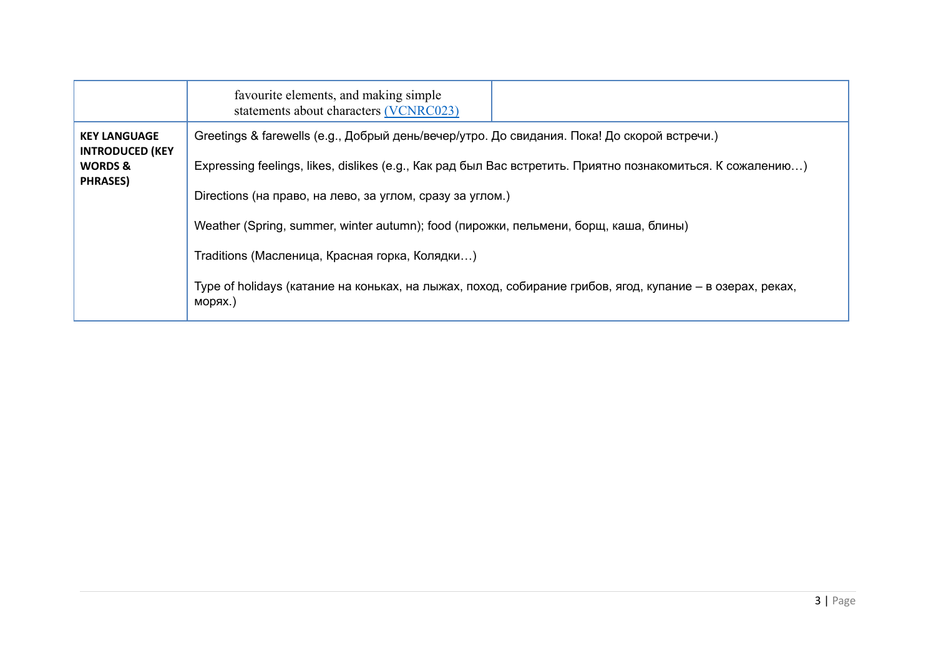| Greetings & farewells (е.д., Добрый день/вечер/утро. До свидания. Пока! До скорой встречи.)<br><b>KEY LANGUAGE</b><br><b>INTRODUCED (KEY</b><br>Expressing feelings, likes, dislikes (e.g., Как рад был Вас встретить. Приятно познакомиться. К сожалению)<br><b>WORDS &amp;</b><br><b>PHRASES)</b><br>Directions (на право, на лево, за углом, сразу за углом.)<br>Weather (Spring, summer, winter autumn); food (пирожки, пельмени, борщ, каша, блины)<br>Traditions (Масленица, Красная горка, Колядки) | favourite elements, and making simple<br>statements about characters (VCNRC023) |
|------------------------------------------------------------------------------------------------------------------------------------------------------------------------------------------------------------------------------------------------------------------------------------------------------------------------------------------------------------------------------------------------------------------------------------------------------------------------------------------------------------|---------------------------------------------------------------------------------|
| Туре of holidays (катание на коньках, на лыжах, поход, собирание грибов, ягод, купание – в озерах, реках,<br>морях.)                                                                                                                                                                                                                                                                                                                                                                                       |                                                                                 |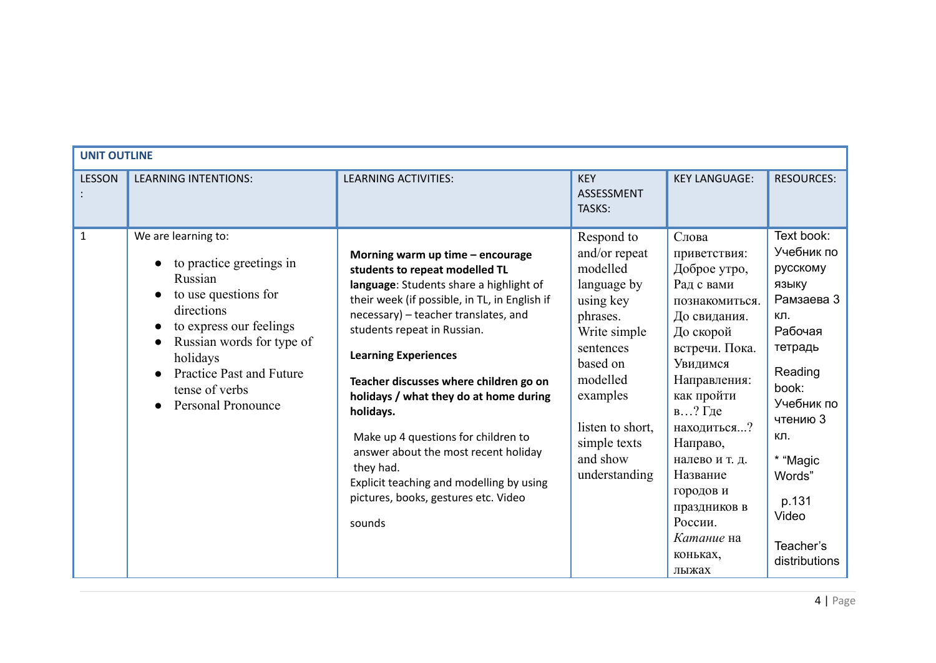| <b>UNIT OUTLINE</b> |                                                                                                                                                                                                                                                        |                                                                                                                                                                                                                                                                                                                                                                                                                                                                                                                                                                 |                                                                                                                                                                                                                   |                                                                                                                                                                                                                                                                                                                    |                                                                                                                                                                                                                     |
|---------------------|--------------------------------------------------------------------------------------------------------------------------------------------------------------------------------------------------------------------------------------------------------|-----------------------------------------------------------------------------------------------------------------------------------------------------------------------------------------------------------------------------------------------------------------------------------------------------------------------------------------------------------------------------------------------------------------------------------------------------------------------------------------------------------------------------------------------------------------|-------------------------------------------------------------------------------------------------------------------------------------------------------------------------------------------------------------------|--------------------------------------------------------------------------------------------------------------------------------------------------------------------------------------------------------------------------------------------------------------------------------------------------------------------|---------------------------------------------------------------------------------------------------------------------------------------------------------------------------------------------------------------------|
| <b>LESSON</b>       | <b>LEARNING INTENTIONS:</b>                                                                                                                                                                                                                            | <b>LEARNING ACTIVITIES:</b>                                                                                                                                                                                                                                                                                                                                                                                                                                                                                                                                     | <b>KEY</b><br>ASSESSMENT<br>TASKS:                                                                                                                                                                                | <b>KEY LANGUAGE:</b>                                                                                                                                                                                                                                                                                               | <b>RESOURCES:</b>                                                                                                                                                                                                   |
| $\mathbf{1}$        | We are learning to:<br>to practice greetings in<br>Russian<br>to use questions for<br>directions<br>to express our feelings<br>Russian words for type of<br>holidays<br><b>Practice Past and Future</b><br>tense of verbs<br><b>Personal Pronounce</b> | Morning warm up time - encourage<br>students to repeat modelled TL<br>language: Students share a highlight of<br>their week (if possible, in TL, in English if<br>necessary) - teacher translates, and<br>students repeat in Russian.<br><b>Learning Experiences</b><br>Teacher discusses where children go on<br>holidays / what they do at home during<br>holidays.<br>Make up 4 questions for children to<br>answer about the most recent holiday<br>they had.<br>Explicit teaching and modelling by using<br>pictures, books, gestures etc. Video<br>sounds | Respond to<br>and/or repeat<br>modelled<br>language by<br>using key<br>phrases.<br>Write simple<br>sentences<br>based on<br>modelled<br>examples<br>listen to short,<br>simple texts<br>and show<br>understanding | Слова<br>приветствия:<br>Доброе утро,<br>Рад с вами<br>познакомиться.<br>До свидания.<br>До скорой<br>встречи. Пока.<br>Увидимся<br>Направления:<br>как пройти<br>в. $.$ ? Где<br>находиться?<br>Направо,<br>налево и т. д.<br>Название<br>городов и<br>праздников в<br>России.<br>Катание на<br>коньках,<br>лыжах | Text book:<br>Учебник по<br>русскому<br>ЯЗЫКУ<br>Рамзаева 3<br>КЛ.<br>Рабочая<br>тетрадь<br>Reading<br>book:<br>Учебник по<br>чтению 3<br>КЛ.<br>* "Magic<br>Words"<br>p.131<br>Video<br>Teacher's<br>distributions |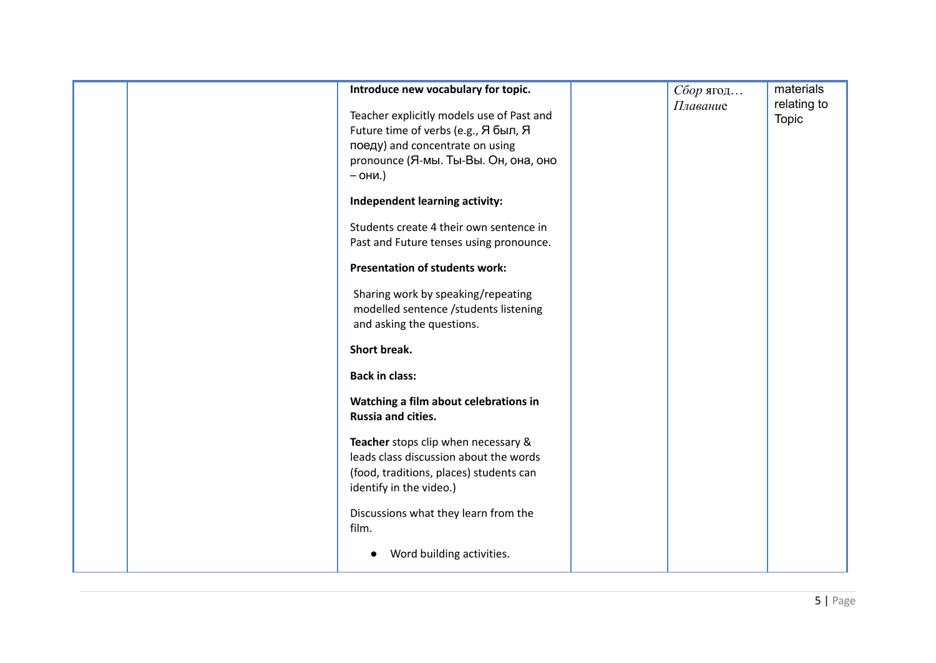|  | Introduce new vocabulary for topic.       | Сбор ягод | materials    |
|--|-------------------------------------------|-----------|--------------|
|  |                                           |           | relating to  |
|  | Teacher explicitly models use of Past and | Плавание  |              |
|  | Future time of verbs (е.g., Я был, Я      |           | <b>Topic</b> |
|  | поеду) and concentrate on using           |           |              |
|  |                                           |           |              |
|  | pronounce (Я-мы. Ты-Вы. Он, она, оно      |           |              |
|  | $-$ OHM.)                                 |           |              |
|  | Independent learning activity:            |           |              |
|  | Students create 4 their own sentence in   |           |              |
|  | Past and Future tenses using pronounce.   |           |              |
|  |                                           |           |              |
|  | <b>Presentation of students work:</b>     |           |              |
|  | Sharing work by speaking/repeating        |           |              |
|  | modelled sentence /students listening     |           |              |
|  | and asking the questions.                 |           |              |
|  |                                           |           |              |
|  | <b>Short break.</b>                       |           |              |
|  | <b>Back in class:</b>                     |           |              |
|  | Watching a film about celebrations in     |           |              |
|  | Russia and cities.                        |           |              |
|  |                                           |           |              |
|  | Teacher stops clip when necessary &       |           |              |
|  | leads class discussion about the words    |           |              |
|  | (food, traditions, places) students can   |           |              |
|  | identify in the video.)                   |           |              |
|  |                                           |           |              |
|  | Discussions what they learn from the      |           |              |
|  | film.                                     |           |              |
|  |                                           |           |              |
|  | Word building activities.                 |           |              |
|  |                                           |           |              |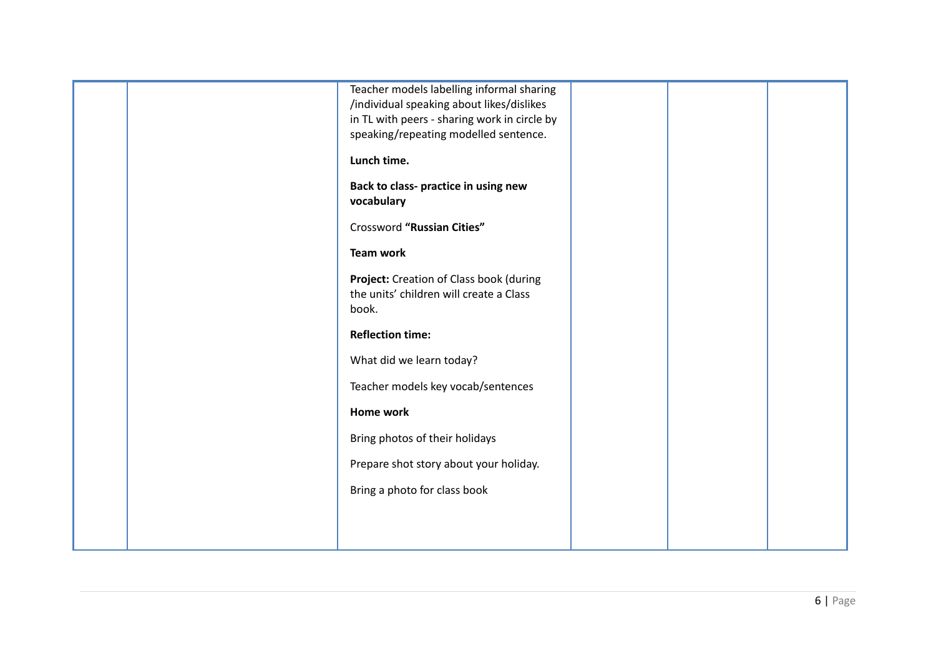|  | Teacher models labelling informal sharing                                             |  |  |
|--|---------------------------------------------------------------------------------------|--|--|
|  | /individual speaking about likes/dislikes                                             |  |  |
|  | in TL with peers - sharing work in circle by<br>speaking/repeating modelled sentence. |  |  |
|  |                                                                                       |  |  |
|  | Lunch time.                                                                           |  |  |
|  | Back to class- practice in using new                                                  |  |  |
|  | vocabulary                                                                            |  |  |
|  | Crossword "Russian Cities"                                                            |  |  |
|  | <b>Team work</b>                                                                      |  |  |
|  | Project: Creation of Class book (during                                               |  |  |
|  | the units' children will create a Class                                               |  |  |
|  | book.                                                                                 |  |  |
|  |                                                                                       |  |  |
|  | <b>Reflection time:</b>                                                               |  |  |
|  | What did we learn today?                                                              |  |  |
|  | Teacher models key vocab/sentences                                                    |  |  |
|  | Home work                                                                             |  |  |
|  | Bring photos of their holidays                                                        |  |  |
|  | Prepare shot story about your holiday.                                                |  |  |
|  | Bring a photo for class book                                                          |  |  |
|  |                                                                                       |  |  |
|  |                                                                                       |  |  |
|  |                                                                                       |  |  |
|  |                                                                                       |  |  |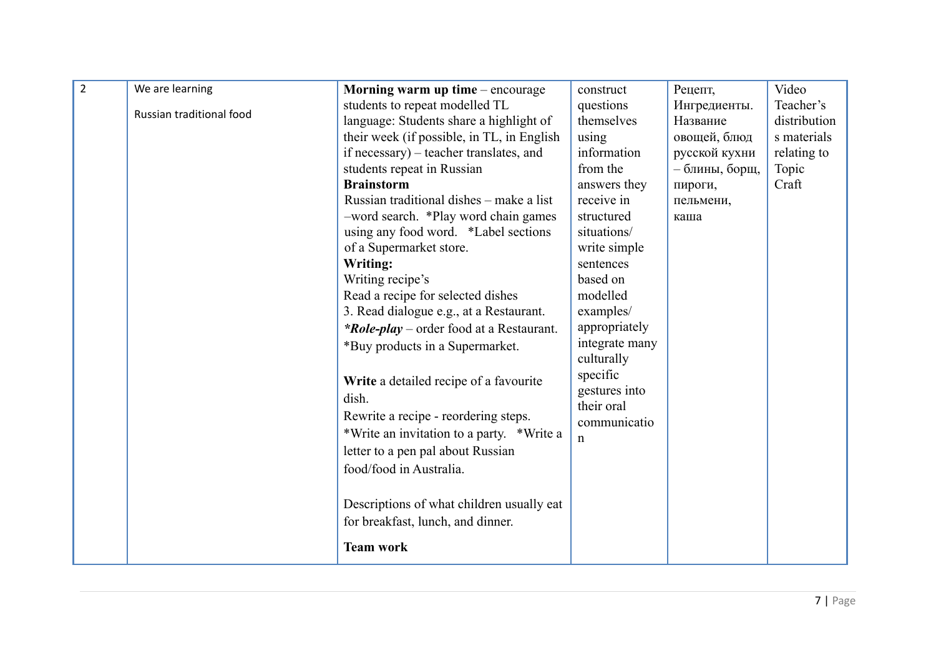| $\overline{2}$ | We are learning          | Morning warm up time $-$ encourage              | construct                    | Рецепт,        | Video        |
|----------------|--------------------------|-------------------------------------------------|------------------------------|----------------|--------------|
|                |                          | students to repeat modelled TL                  | questions                    | Ингредиенты.   | Teacher's    |
|                | Russian traditional food | language: Students share a highlight of         | themselves                   | Название       | distribution |
|                |                          | their week (if possible, in TL, in English      | using                        | овощей, блюд   | s materials  |
|                |                          | if necessary) – teacher translates, and         | information                  | русской кухни  | relating to  |
|                |                          | students repeat in Russian                      | from the                     | - блины, борщ, | Topic        |
|                |                          | <b>Brainstorm</b>                               | answers they                 | пироги,        | Craft        |
|                |                          | Russian traditional dishes - make a list        | receive in                   | пельмени,      |              |
|                |                          | -word search. *Play word chain games            | structured                   | каша           |              |
|                |                          | using any food word. *Label sections            | situations/                  |                |              |
|                |                          | of a Supermarket store.                         | write simple                 |                |              |
|                |                          | Writing:                                        | sentences                    |                |              |
|                |                          | Writing recipe's                                | based on                     |                |              |
|                |                          | Read a recipe for selected dishes               | modelled                     |                |              |
|                |                          | 3. Read dialogue e.g., at a Restaurant.         | examples/                    |                |              |
|                |                          | <i>*Role-play</i> – order food at a Restaurant. | appropriately                |                |              |
|                |                          | *Buy products in a Supermarket.                 | integrate many<br>culturally |                |              |
|                |                          | Write a detailed recipe of a favourite          | specific<br>gestures into    |                |              |
|                |                          | dish.                                           | their oral                   |                |              |
|                |                          | Rewrite a recipe - reordering steps.            | communicatio                 |                |              |
|                |                          | *Write an invitation to a party. *Write a       | n                            |                |              |
|                |                          | letter to a pen pal about Russian               |                              |                |              |
|                |                          | food/food in Australia.                         |                              |                |              |
|                |                          |                                                 |                              |                |              |
|                |                          | Descriptions of what children usually eat       |                              |                |              |
|                |                          | for breakfast, lunch, and dinner.               |                              |                |              |
|                |                          | <b>Team work</b>                                |                              |                |              |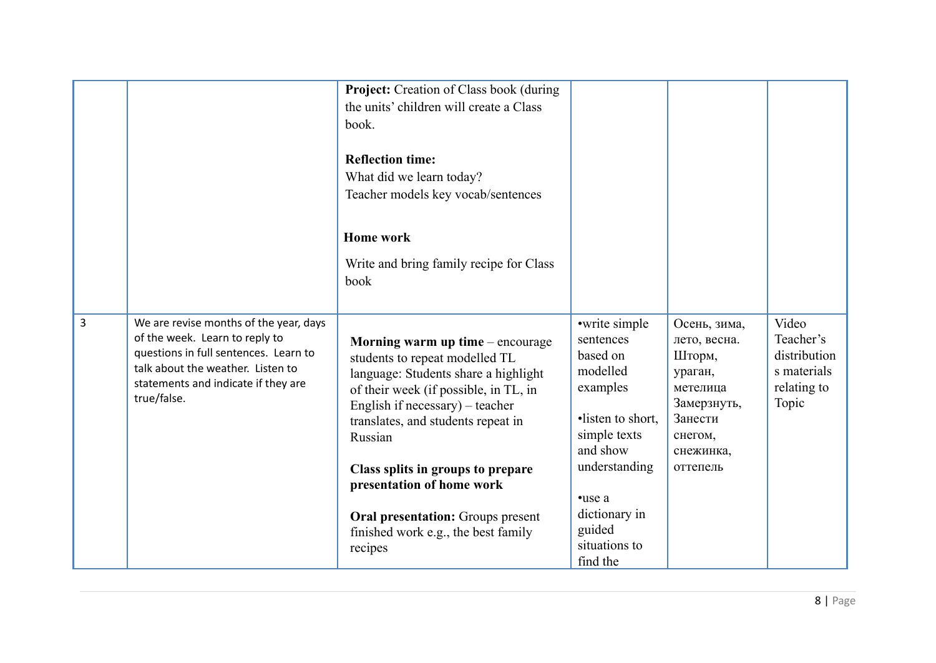|                |                                                                                                                                                                                                              | Project: Creation of Class book (during<br>the units' children will create a Class<br>book.                                                                                                                                                                                                                                                                                                               |                                                                                                                                                                                                    |                                                                                                                             |                                                                           |
|----------------|--------------------------------------------------------------------------------------------------------------------------------------------------------------------------------------------------------------|-----------------------------------------------------------------------------------------------------------------------------------------------------------------------------------------------------------------------------------------------------------------------------------------------------------------------------------------------------------------------------------------------------------|----------------------------------------------------------------------------------------------------------------------------------------------------------------------------------------------------|-----------------------------------------------------------------------------------------------------------------------------|---------------------------------------------------------------------------|
|                |                                                                                                                                                                                                              | <b>Reflection time:</b><br>What did we learn today?<br>Teacher models key vocab/sentences                                                                                                                                                                                                                                                                                                                 |                                                                                                                                                                                                    |                                                                                                                             |                                                                           |
|                |                                                                                                                                                                                                              | <b>Home work</b>                                                                                                                                                                                                                                                                                                                                                                                          |                                                                                                                                                                                                    |                                                                                                                             |                                                                           |
|                |                                                                                                                                                                                                              | Write and bring family recipe for Class<br>book                                                                                                                                                                                                                                                                                                                                                           |                                                                                                                                                                                                    |                                                                                                                             |                                                                           |
| $\overline{3}$ | We are revise months of the year, days<br>of the week. Learn to reply to<br>questions in full sentences. Learn to<br>talk about the weather. Listen to<br>statements and indicate if they are<br>true/false. | Morning warm up time $-$ encourage<br>students to repeat modelled TL<br>language: Students share a highlight<br>of their week (if possible, in TL, in<br>English if necessary) – teacher<br>translates, and students repeat in<br>Russian<br>Class splits in groups to prepare<br>presentation of home work<br><b>Oral presentation:</b> Groups present<br>finished work e.g., the best family<br>recipes | •write simple<br>sentences<br>based on<br>modelled<br>examples<br>•listen to short,<br>simple texts<br>and show<br>understanding<br>•use a<br>dictionary in<br>guided<br>situations to<br>find the | Осень, зима,<br>лето, весна.<br>Шторм,<br>ураган,<br>метелица<br>Замерзнуть,<br>Занести<br>снегом,<br>снежинка,<br>оттепель | Video<br>Teacher's<br>distribution<br>s materials<br>relating to<br>Topic |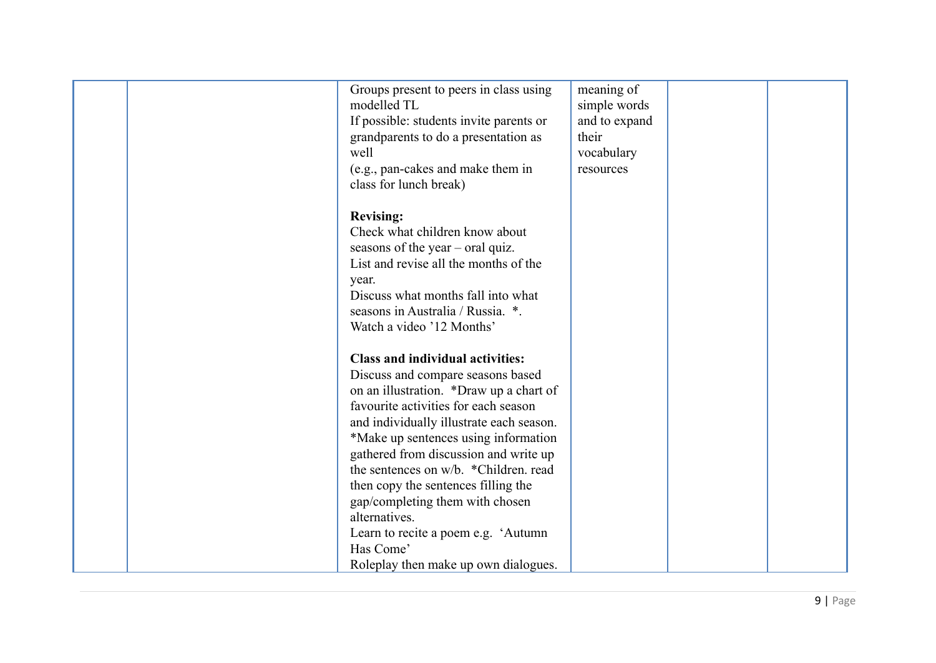| Groups present to peers in class using<br>modelled TL<br>If possible: students invite parents or<br>grandparents to do a presentation as<br>well<br>(e.g., pan-cakes and make them in<br>class for lunch break)                                                                                                                                                                                                                                                                                                               | meaning of<br>simple words<br>and to expand<br>their<br>vocabulary<br>resources |  |
|-------------------------------------------------------------------------------------------------------------------------------------------------------------------------------------------------------------------------------------------------------------------------------------------------------------------------------------------------------------------------------------------------------------------------------------------------------------------------------------------------------------------------------|---------------------------------------------------------------------------------|--|
| <b>Revising:</b><br>Check what children know about<br>seasons of the year $-$ oral quiz.<br>List and revise all the months of the<br>year.<br>Discuss what months fall into what<br>seasons in Australia / Russia. *.<br>Watch a video '12 Months'                                                                                                                                                                                                                                                                            |                                                                                 |  |
| <b>Class and individual activities:</b><br>Discuss and compare seasons based<br>on an illustration. *Draw up a chart of<br>favourite activities for each season<br>and individually illustrate each season.<br>*Make up sentences using information<br>gathered from discussion and write up<br>the sentences on w/b. *Children. read<br>then copy the sentences filling the<br>gap/completing them with chosen<br>alternatives.<br>Learn to recite a poem e.g. 'Autumn'<br>Has Come'<br>Roleplay then make up own dialogues. |                                                                                 |  |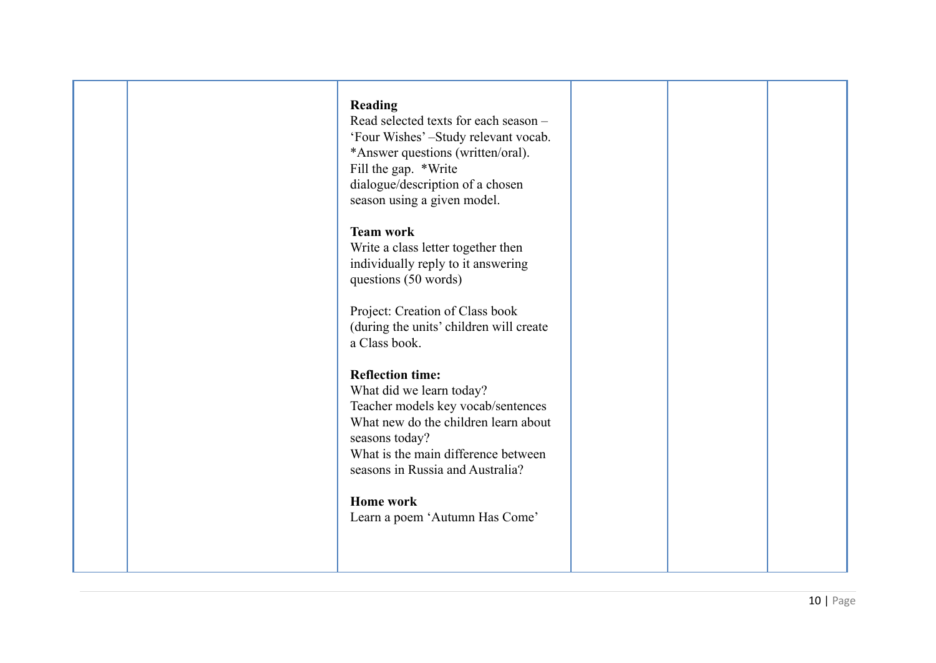|  | Reading<br>Read selected texts for each season -<br>'Four Wishes' -Study relevant vocab.<br>*Answer questions (written/oral).<br>Fill the gap. *Write<br>dialogue/description of a chosen<br>season using a given model.       |  |  |
|--|--------------------------------------------------------------------------------------------------------------------------------------------------------------------------------------------------------------------------------|--|--|
|  | <b>Team work</b><br>Write a class letter together then<br>individually reply to it answering<br>questions (50 words)                                                                                                           |  |  |
|  | Project: Creation of Class book<br>(during the units' children will create<br>a Class book.                                                                                                                                    |  |  |
|  | <b>Reflection time:</b><br>What did we learn today?<br>Teacher models key vocab/sentences<br>What new do the children learn about<br>seasons today?<br>What is the main difference between<br>seasons in Russia and Australia? |  |  |
|  | <b>Home work</b><br>Learn a poem 'Autumn Has Come'                                                                                                                                                                             |  |  |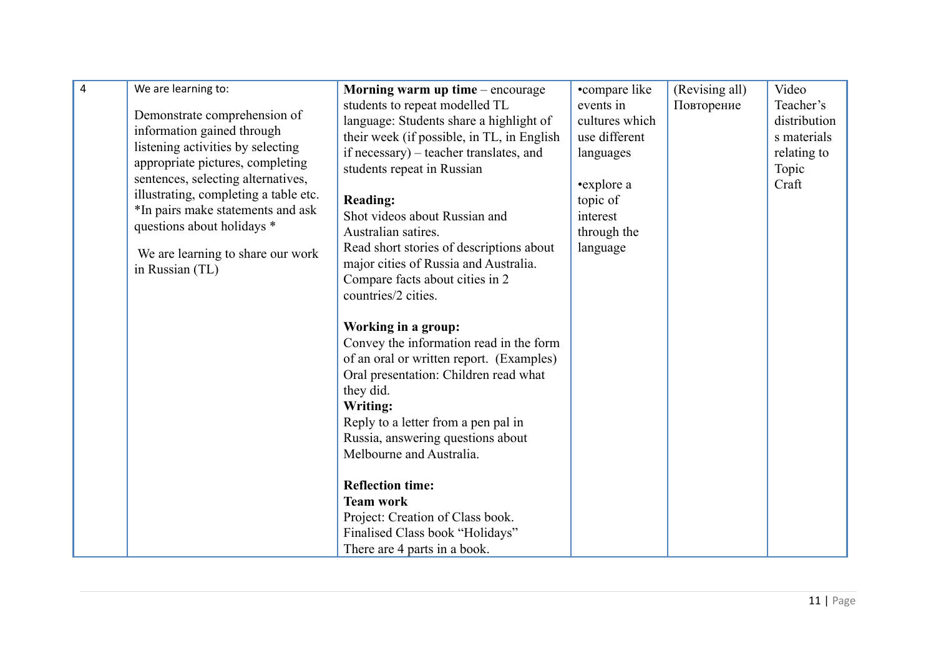| $\overline{4}$ | We are learning to:                   | Morning warm up time – encourage           | •compare like  | (Revising all) | Video        |
|----------------|---------------------------------------|--------------------------------------------|----------------|----------------|--------------|
|                |                                       | students to repeat modelled TL             | events in      | Повторение     | Teacher's    |
|                | Demonstrate comprehension of          | language: Students share a highlight of    | cultures which |                | distribution |
|                | information gained through            | their week (if possible, in TL, in English | use different  |                | s materials  |
|                | listening activities by selecting     | if necessary) – teacher translates, and    | languages      |                | relating to  |
|                | appropriate pictures, completing      | students repeat in Russian                 |                |                | Topic        |
|                | sentences, selecting alternatives,    |                                            | •explore a     |                | Craft        |
|                | illustrating, completing a table etc. | <b>Reading:</b>                            | topic of       |                |              |
|                | *In pairs make statements and ask     | Shot videos about Russian and              | interest       |                |              |
|                | questions about holidays *            | Australian satires.                        | through the    |                |              |
|                | We are learning to share our work     | Read short stories of descriptions about   | language       |                |              |
|                | in Russian (TL)                       | major cities of Russia and Australia.      |                |                |              |
|                |                                       | Compare facts about cities in 2            |                |                |              |
|                |                                       | countries/2 cities.                        |                |                |              |
|                |                                       |                                            |                |                |              |
|                |                                       | Working in a group:                        |                |                |              |
|                |                                       | Convey the information read in the form    |                |                |              |
|                |                                       | of an oral or written report. (Examples)   |                |                |              |
|                |                                       | Oral presentation: Children read what      |                |                |              |
|                |                                       | they did.                                  |                |                |              |
|                |                                       | <b>Writing:</b>                            |                |                |              |
|                |                                       | Reply to a letter from a pen pal in        |                |                |              |
|                |                                       | Russia, answering questions about          |                |                |              |
|                |                                       | Melbourne and Australia.                   |                |                |              |
|                |                                       |                                            |                |                |              |
|                |                                       | <b>Reflection time:</b>                    |                |                |              |
|                |                                       | <b>Team work</b>                           |                |                |              |
|                |                                       | Project: Creation of Class book.           |                |                |              |
|                |                                       | Finalised Class book "Holidays"            |                |                |              |
|                |                                       | There are 4 parts in a book.               |                |                |              |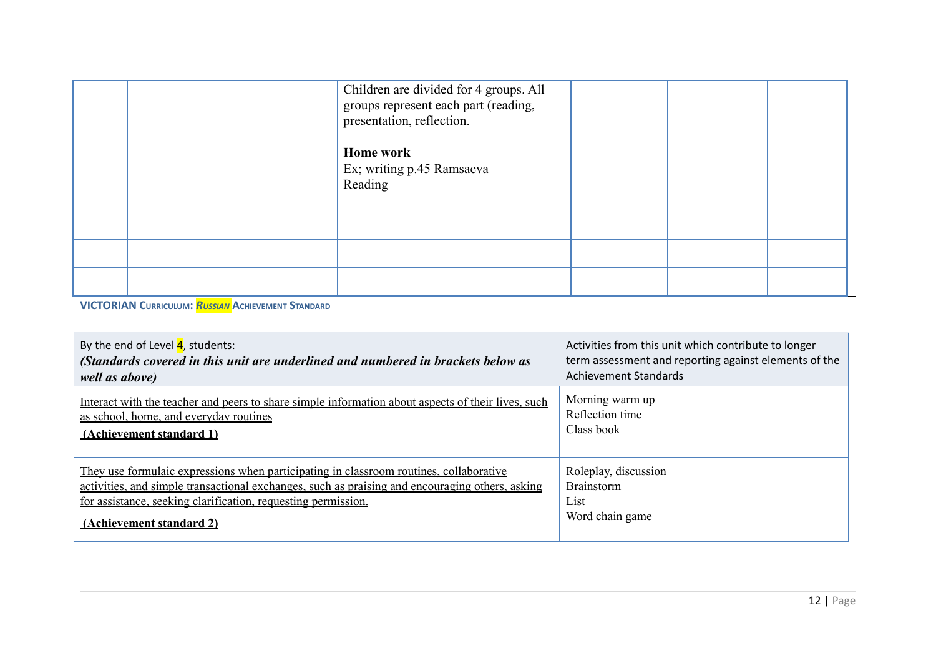| Children are divided for 4 groups. All<br>groups represent each part (reading,<br>presentation, reflection.<br><b>Home work</b><br>Ex; writing p.45 Ramsaeva<br>Reading |  |  |
|-------------------------------------------------------------------------------------------------------------------------------------------------------------------------|--|--|
|                                                                                                                                                                         |  |  |
|                                                                                                                                                                         |  |  |

**VICTORIAN CURRICULUM:** *RUSSIAN* **ACHIEVEMENT STANDARD**

| By the end of Level $\frac{4}{1}$ , students:                                                      | Activities from this unit which contribute to longer  |
|----------------------------------------------------------------------------------------------------|-------------------------------------------------------|
| (Standards covered in this unit are underlined and numbered in brackets below as                   | term assessment and reporting against elements of the |
| well as above)                                                                                     | <b>Achievement Standards</b>                          |
| Interact with the teacher and peers to share simple information about aspects of their lives, such | Morning warm up                                       |
| as school, home, and everyday routines                                                             | Reflection time                                       |
| (Achievement standard 1)                                                                           | Class book                                            |
| They use formulaic expressions when participating in classroom routines, collaborative             | Roleplay, discussion                                  |
| activities, and simple transactional exchanges, such as praising and encouraging others, asking    | <b>Brainstorm</b>                                     |
| for assistance, seeking clarification, requesting permission.                                      | List                                                  |
| (Achievement standard 2)                                                                           | Word chain game                                       |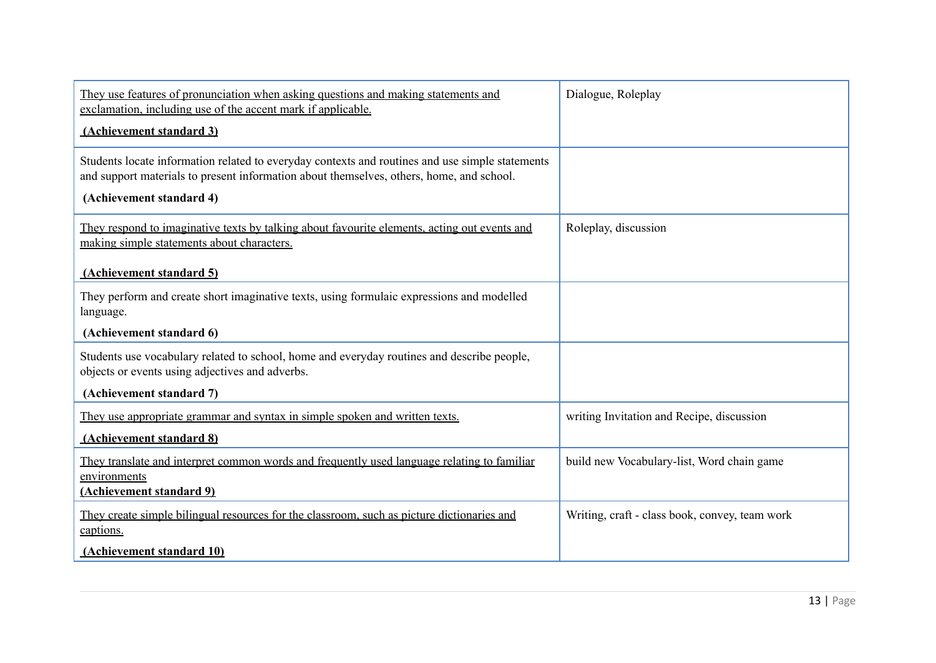| They use features of pronunciation when asking questions and making statements and<br>exclamation, including use of the accent mark if applicable.                                          | Dialogue, Roleplay                             |
|---------------------------------------------------------------------------------------------------------------------------------------------------------------------------------------------|------------------------------------------------|
| (Achievement standard 3)                                                                                                                                                                    |                                                |
| Students locate information related to everyday contexts and routines and use simple statements<br>and support materials to present information about themselves, others, home, and school. |                                                |
| (Achievement standard 4)                                                                                                                                                                    |                                                |
| They respond to imaginative texts by talking about favourite elements, acting out events and<br>making simple statements about characters.                                                  | Roleplay, discussion                           |
| (Achievement standard 5)                                                                                                                                                                    |                                                |
| They perform and create short imaginative texts, using formulaic expressions and modelled<br>language.                                                                                      |                                                |
| (Achievement standard 6)                                                                                                                                                                    |                                                |
| Students use vocabulary related to school, home and everyday routines and describe people,<br>objects or events using adjectives and adverbs.                                               |                                                |
| (Achievement standard 7)                                                                                                                                                                    |                                                |
| They use appropriate grammar and syntax in simple spoken and written texts.                                                                                                                 | writing Invitation and Recipe, discussion      |
| (Achievement standard 8)                                                                                                                                                                    |                                                |
| They translate and interpret common words and frequently used language relating to familiar<br>environments                                                                                 | build new Vocabulary-list, Word chain game     |
| (Achievement standard 9)                                                                                                                                                                    |                                                |
| They create simple bilingual resources for the classroom, such as picture dictionaries and<br>captions.                                                                                     | Writing, craft - class book, convey, team work |
| (Achievement standard 10)                                                                                                                                                                   |                                                |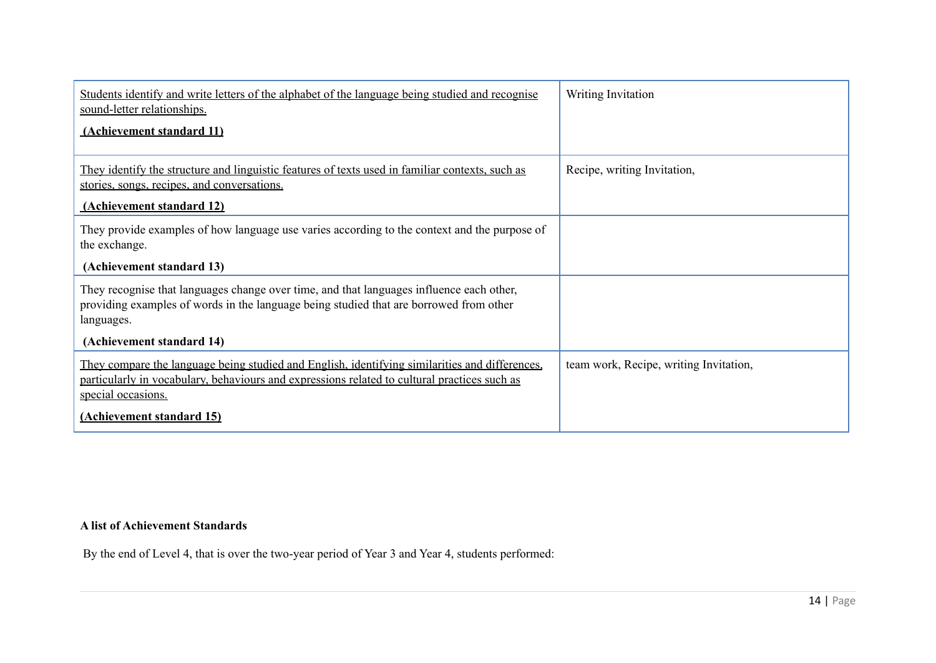| Students identify and write letters of the alphabet of the language being studied and recognise<br>sound-letter relationships.                                                                                       | Writing Invitation                     |
|----------------------------------------------------------------------------------------------------------------------------------------------------------------------------------------------------------------------|----------------------------------------|
| (Achievement standard 11)                                                                                                                                                                                            |                                        |
| They identify the structure and linguistic features of texts used in familiar contexts, such as<br>stories, songs, recipes, and conversations.                                                                       | Recipe, writing Invitation,            |
| (Achievement standard 12)                                                                                                                                                                                            |                                        |
| They provide examples of how language use varies according to the context and the purpose of<br>the exchange.                                                                                                        |                                        |
| (Achievement standard 13)                                                                                                                                                                                            |                                        |
| They recognise that languages change over time, and that languages influence each other,<br>providing examples of words in the language being studied that are borrowed from other<br>languages.                     |                                        |
| (Achievement standard 14)                                                                                                                                                                                            |                                        |
| They compare the language being studied and English, identifying similarities and differences.<br>particularly in vocabulary, behaviours and expressions related to cultural practices such as<br>special occasions. | team work, Recipe, writing Invitation, |
| (Achievement standard 15)                                                                                                                                                                                            |                                        |

## **A list of Achievement Standards**

By the end of Level 4, that is over the two-year period of Year 3 and Year 4, students performed: